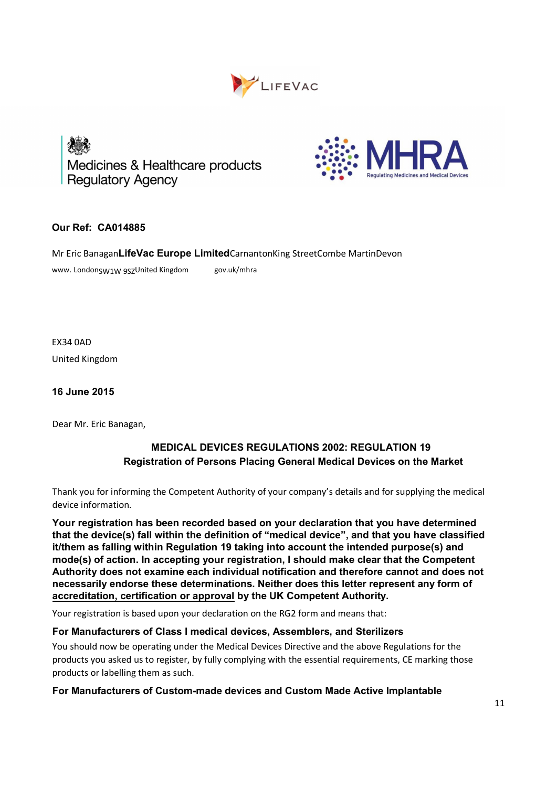





# Our Ref: CA014885

Mr Eric BanaganLifeVac Europe LimitedCarnantonKing StreetCombe MartinDevon

www. Londonsw1w 9szUnited Kingdom gov.uk/mhra

EX34 0AD United Kingdom

## 16 June 2015

Dear Mr. Eric Banagan,

# MEDICAL DEVICES REGULATIONS 2002: REGULATION 19 Registration of Persons Placing General Medical Devices on the Market

Thank you for informing the Competent Authority of your company's details and for supplying the medical device information.

Your registration has been recorded based on your declaration that you have determined that the device(s) fall within the definition of "medical device", and that you have classified it/them as falling within Regulation 19 taking into account the intended purpose(s) and mode(s) of action. In accepting your registration, I should make clear that the Competent Authority does not examine each individual notification and therefore cannot and does not necessarily endorse these determinations. Neither does this letter represent any form of accreditation, certification or approval by the UK Competent Authority.

Your registration is based upon your declaration on the RG2 form and means that:

### For Manufacturers of Class I medical devices, Assemblers, and Sterilizers

You should now be operating under the Medical Devices Directive and the above Regulations for the products you asked us to register, by fully complying with the essential requirements, CE marking those products or labelling them as such.

For Manufacturers of Custom-made devices and Custom Made Active Implantable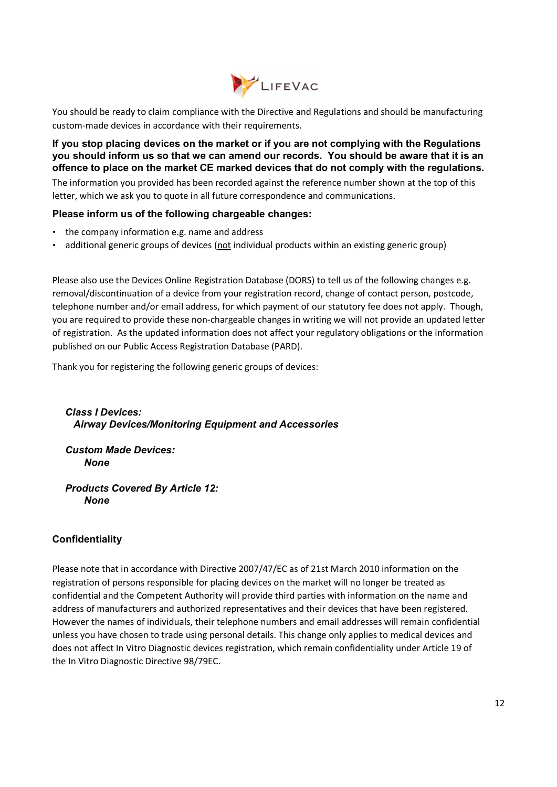

You should be ready to claim compliance with the Directive and Regulations and should be manufacturing custom-made devices in accordance with their requirements.

### If you stop placing devices on the market or if you are not complying with the Regulations you should inform us so that we can amend our records. You should be aware that it is an offence to place on the market CE marked devices that do not comply with the regulations.

The information you provided has been recorded against the reference number shown at the top of this letter, which we ask you to quote in all future correspondence and communications.

#### Please inform us of the following chargeable changes:

- the company information e.g. name and address
- additional generic groups of devices (not individual products within an existing generic group)

Please also use the Devices Online Registration Database (DORS) to tell us of the following changes e.g. removal/discontinuation of a device from your registration record, change of contact person, postcode, telephone number and/or email address, for which payment of our statutory fee does not apply. Though, you are required to provide these non-chargeable changes in writing we will not provide an updated letter of registration. As the updated information does not affect your regulatory obligations or the information published on our Public Access Registration Database (PARD).

Thank you for registering the following generic groups of devices:

#### Class I Devices: Airway Devices/Monitoring Equipment and Accessories

Custom Made Devices: None

Products Covered By Article 12: None

### Confidentiality

Please note that in accordance with Directive 2007/47/EC as of 21st March 2010 information on the registration of persons responsible for placing devices on the market will no longer be treated as confidential and the Competent Authority will provide third parties with information on the name and address of manufacturers and authorized representatives and their devices that have been registered. However the names of individuals, their telephone numbers and email addresses will remain confidential unless you have chosen to trade using personal details. This change only applies to medical devices and does not affect In Vitro Diagnostic devices registration, which remain confidentiality under Article 19 of the In Vitro Diagnostic Directive 98/79EC.